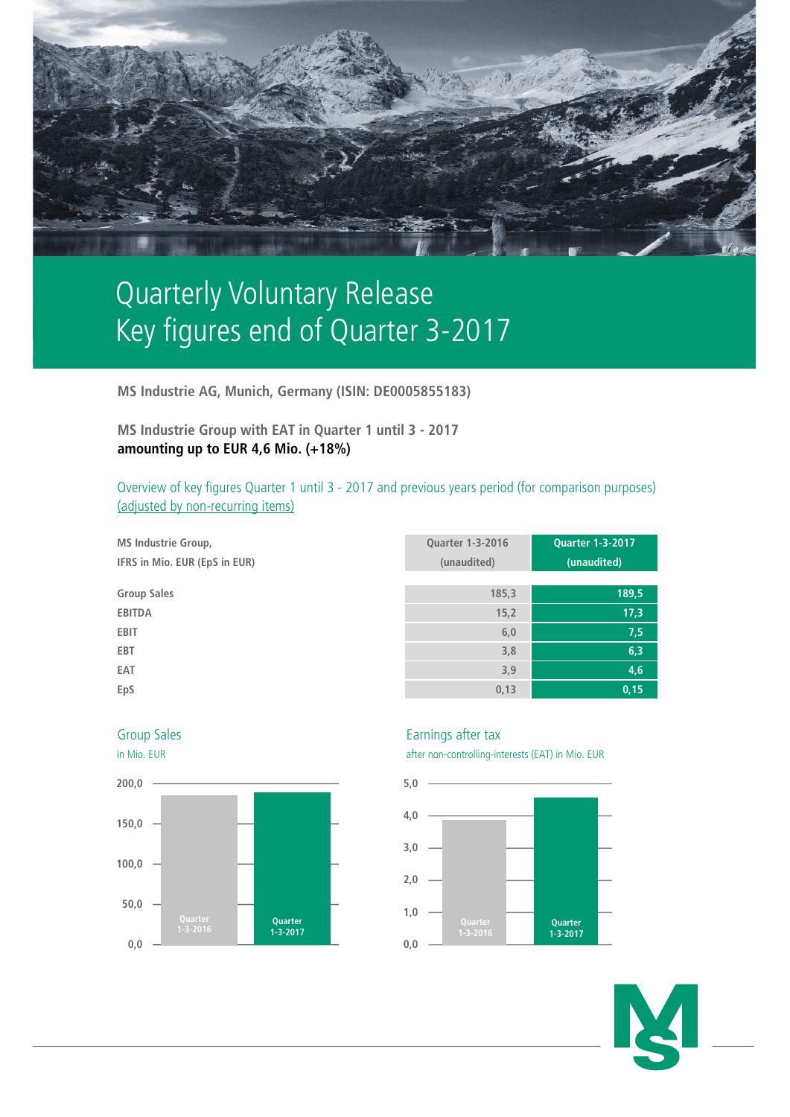

# Quarterly Voluntary Release Key figures end of Quarter 3-2017

**MS Industrie AG, Munich, Germany (ISIN: DE0005855183)**

**MS Industrie Group with EAT in Quarter 1 until 3 - 2017 amounting up to EUR 4,6 Mio. (+18%)**

Overview of key figures Quarter 1 until 3 - 2017 and previous years period (for comparison purposes) (adjusted by non-recurring items)

| <b>MS Industrie Group,</b><br>IFRS in Mio. EUR (EpS in EUR) | <b>Quarter 1-3-2016</b><br>(unaudited) | <b>Quarter 1-3-2017</b><br>(unaudited) |
|-------------------------------------------------------------|----------------------------------------|----------------------------------------|
| <b>Group Sales</b>                                          | 185,3                                  | 189,5                                  |
| <b>EBITDA</b>                                               | 15,2                                   | 17,3                                   |
| <b>EBIT</b>                                                 | 6,0                                    | 7,5                                    |
| <b>EBT</b>                                                  | 3,8                                    | 6,3                                    |
| EAT                                                         | 3,9                                    | 4,6                                    |
| EpS                                                         | 0,13                                   | 0,15                                   |





# Group Sales **Earnings** after tax

in Mio. EUR after non-controlling-interests (EAT) in Mio. EUR



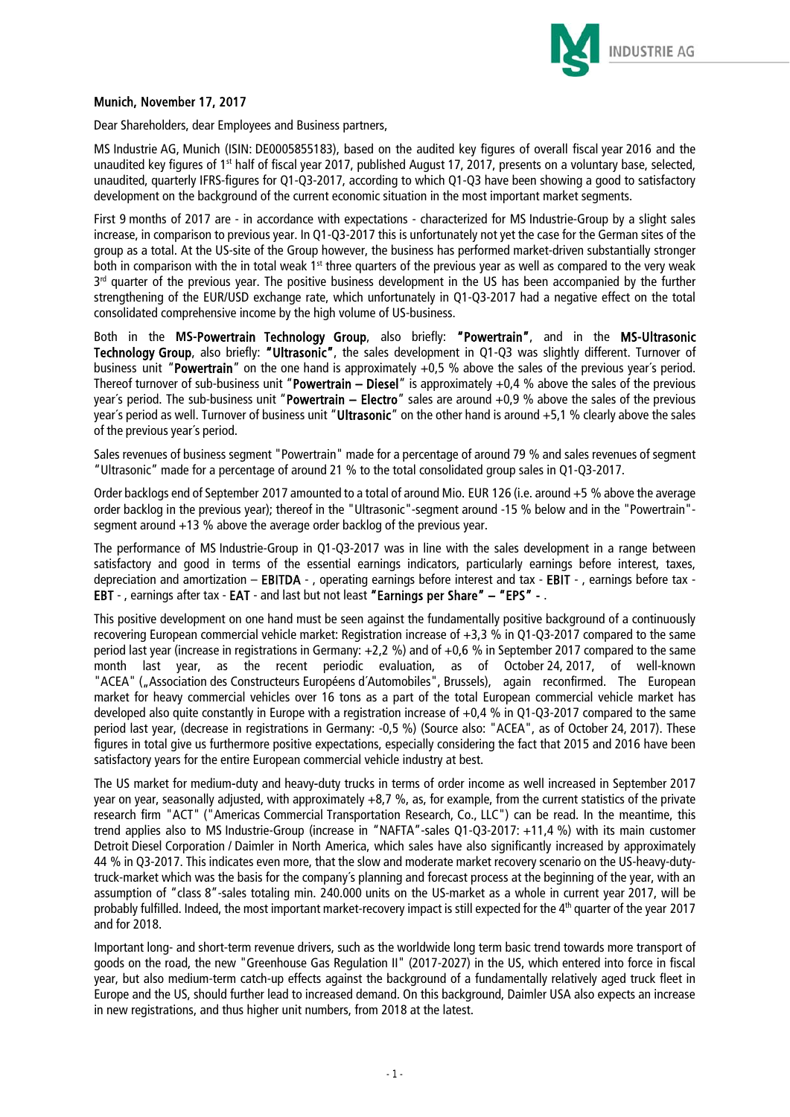

# Munich, November 17, 2017

Dear Shareholders, dear Employees and Business partners,

MS Industrie AG, Munich (ISIN: DE0005855183), based on the audited key figures of overall fiscal year 2016 and the unaudited key figures of 1<sup>st</sup> half of fiscal year 2017, published August 17, 2017, presents on a voluntary base, selected, unaudited, quarterly IFRS-figures for Q1-Q3-2017, according to which Q1-Q3 have been showing a good to satisfactory development on the background of the current economic situation in the most important market segments.

First 9 months of 2017 are - in accordance with expectations - characterized for MS Industrie-Group by a slight sales increase, in comparison to previous year. In Q1-Q3-2017 this is unfortunately not yet the case for the German sites of the group as a total. At the US-site of the Group however, the business has performed market-driven substantially stronger both in comparison with the in total weak  $1<sup>st</sup>$  three quarters of the previous year as well as compared to the very weak 3<sup>rd</sup> quarter of the previous year. The positive business development in the US has been accompanied by the further strengthening of the EUR/USD exchange rate, which unfortunately in Q1-Q3-2017 had a negative effect on the total consolidated comprehensive income by the high volume of US-business.

Both in the **MS-**Powertrain Technology Group, also briefly: "Powertrain", and in the MS-Ultrasonic Technology Group, also briefly: "Ultrasonic", the sales development in Q1-Q3 was slightly different. Turnover of business unit "Powertrain" on the one hand is approximately  $+0.5$  % above the sales of the previous year's period. Thereof turnover of sub-business unit "Powertrain – Diesel" is approximately  $+0.4$  % above the sales of the previous year's period. The sub-business unit "Powertrain – Electro" sales are around  $+0.9$  % above the sales of the previous year's period as well. Turnover of business unit "Ultrasonic" on the other hand is around +5,1 % clearly above the sales of the previous year´s period.

Sales revenues of business segment "Powertrain" made for a percentage of around 79 % and sales revenues of segment "Ultrasonic" made for a percentage of around 21 % to the total consolidated group sales in Q1-Q3-2017.

Order backlogs end of September 2017 amounted to a total of around Mio. EUR 126 (i.e. around +5 % above the average order backlog in the previous year); thereof in the "Ultrasonic"-segment around -15 % below and in the "Powertrain" segment around +13 % above the average order backlog of the previous year.

The performance of MS Industrie-Group in Q1-Q3-2017 was in line with the sales development in a range between satisfactory and good in terms of the essential earnings indicators, particularly earnings before interest, taxes, depreciation and amortization – EBITDA - , operating earnings before interest and tax - EBIT - , earnings before tax - EBT - , earnings after tax - EAT - and last but not least "Earnings per Share" – "EPS" - .

This positive development on one hand must be seen against the fundamentally positive background of a continuously recovering European commercial vehicle market: Registration increase of +3,3 % in Q1-Q3-2017 compared to the same period last year (increase in registrations in Germany: +2,2 %) and of +0,6 % in September 2017 compared to the same month last year, as the recent periodic evaluation, as of October 24, 2017, of well-known "ACEA" ("Association des Constructeurs Européens d´Automobiles", Brussels), again reconfirmed. The European market for heavy commercial vehicles over 16 tons as a part of the total European commercial vehicle market has developed also quite constantly in Europe with a registration increase of +0,4 % in Q1-Q3-2017 compared to the same period last year, (decrease in registrations in Germany: -0,5 %) (Source also: "ACEA", as of October 24, 2017). These figures in total give us furthermore positive expectations, especially considering the fact that 2015 and 2016 have been satisfactory years for the entire European commercial vehicle industry at best.

The US market for medium-duty and heavy-duty trucks in terms of order income as well increased in September 2017 year on year, seasonally adjusted, with approximately +8,7 %, as, for example, from the current statistics of the private research firm "ACT" ("Americas Commercial Transportation Research, Co., LLC") can be read. In the meantime, this trend applies also to MS Industrie-Group (increase in "NAFTA"-sales Q1-Q3-2017: +11,4 %) with its main customer Detroit Diesel Corporation / Daimler in North America, which sales have also significantly increased by approximately 44 % in Q3-2017. This indicates even more, that the slow and moderate market recovery scenario on the US-heavy-dutytruck-market which was the basis for the company´s planning and forecast process at the beginning of the year, with an assumption of "class 8"-sales totaling min. 240.000 units on the US-market as a whole in current year 2017, will be probably fulfilled. Indeed, the most important market-recovery impact is still expected for the 4<sup>th</sup> quarter of the year 2017 and for 2018.

Important long- and short-term revenue drivers, such as the worldwide long term basic trend towards more transport of goods on the road, the new "Greenhouse Gas Regulation II" (2017-2027) in the US, which entered into force in fiscal year, but also medium-term catch-up effects against the background of a fundamentally relatively aged truck fleet in Europe and the US, should further lead to increased demand. On this background, Daimler USA also expects an increase in new registrations, and thus higher unit numbers, from 2018 at the latest.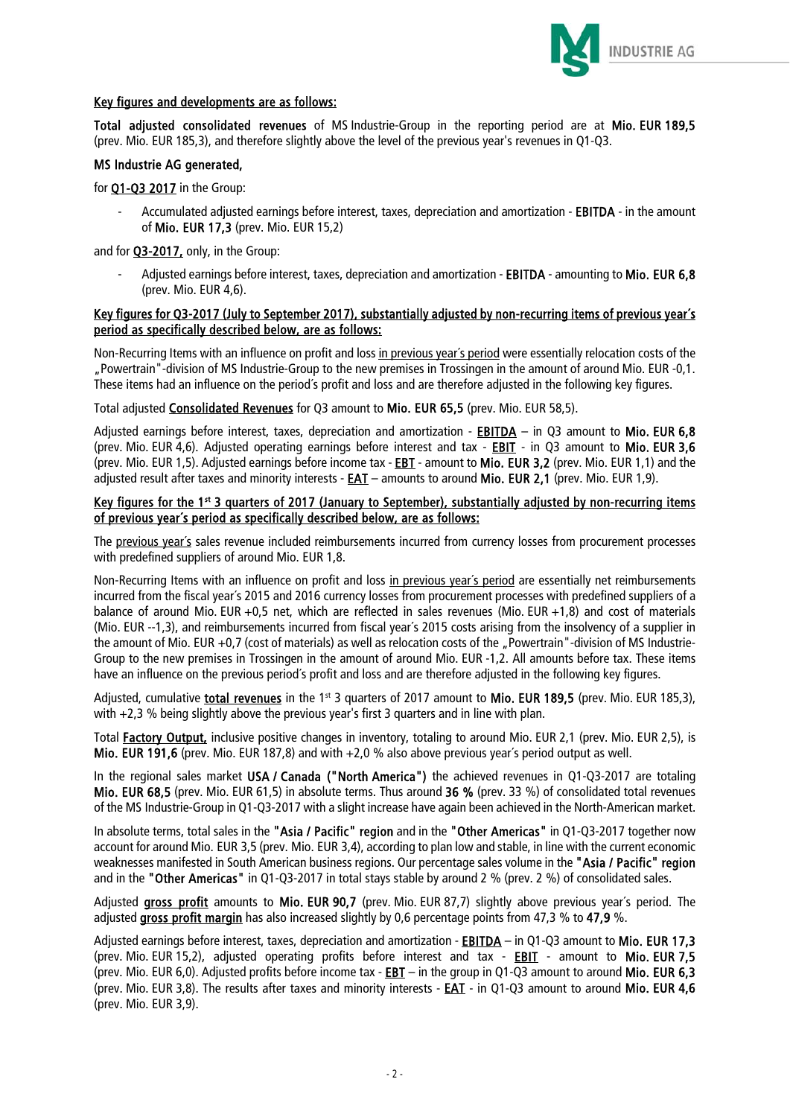

## Key figures and developments are as follows:

Total adjusted consolidated revenues of MS Industrie-Group in the reporting period are at Mio. EUR 189,5 (prev. Mio. EUR 185,3), and therefore slightly above the level of the previous year's revenues in Q1-Q3.

#### MS Industrie AG generated,

for **Q1-Q3 2017** in the Group:

Accumulated adjusted earnings before interest, taxes, depreciation and amortization - EBITDA - in the amount of Mio. EUR 17,3 (prev. Mio. EUR 15,2)

and for **Q3-2017**, only, in the Group:

Adjusted earnings before interest, taxes, depreciation and amortization - EBITDA - amounting to Mio. EUR 6,8 (prev. Mio. EUR 4,6).

#### Key figures for Q3-2017 (July to September 2017), substantially adjusted by non-recurring items of previous year´s period as specifically described below, are as follows:

Non-Recurring Items with an influence on profit and loss in previous year's period were essentially relocation costs of the "Powertrain"-division of MS Industrie-Group to the new premises in Trossingen in the amount of around Mio. EUR -0,1. These items had an influence on the period´s profit and loss and are therefore adjusted in the following key figures.

Total adjusted Consolidated Revenues for Q3 amount to Mio. EUR 65,5 (prev. Mio. EUR 58,5).

Adjusted earnings before interest, taxes, depreciation and amortization - **EBITDA** – in Q3 amount to Mio. EUR 6,8 (prev. Mio. EUR 4,6). Adjusted operating earnings before interest and tax - EBIT - in Q3 amount to Mio. EUR 3,6 (prev. Mio. EUR 1,5). Adjusted earnings before income tax - EBT - amount to Mio. EUR 3,2 (prev. Mio. EUR 1,1) and the adjusted result after taxes and minority interests - EAT – amounts to around Mio. EUR 2,1 (prev. Mio. EUR 1,9).

## Key figures for the 1st 3 quarters of 2017 (January to September), substantially adjusted by non-recurring items of previous year´s period as specifically described below, are as follows:

The previous year's sales revenue included reimbursements incurred from currency losses from procurement processes with predefined suppliers of around Mio. EUR 1,8.

Non-Recurring Items with an influence on profit and loss in previous year´s period are essentially net reimbursements incurred from the fiscal year´s 2015 and 2016 currency losses from procurement processes with predefined suppliers of a balance of around Mio. EUR +0,5 net, which are reflected in sales revenues (Mio. EUR +1,8) and cost of materials (Mio. EUR --1,3), and reimbursements incurred from fiscal year´s 2015 costs arising from the insolvency of a supplier in the amount of Mio. EUR +0,7 (cost of materials) as well as relocation costs of the "Powertrain"-division of MS Industrie-Group to the new premises in Trossingen in the amount of around Mio. EUR -1,2. All amounts before tax. These items have an influence on the previous period´s profit and loss and are therefore adjusted in the following key figures.

Adjusted, cumulative total revenues in the 1st 3 quarters of 2017 amount to Mio. EUR 189.5 (prev. Mio. EUR 185.3). with +2,3 % being slightly above the previous year's first 3 quarters and in line with plan.

Total **Factory Output**, inclusive positive changes in inventory, totaling to around Mio. EUR 2,1 (prev. Mio. EUR 2,5), is Mio. EUR 191,6 (prev. Mio. EUR 187,8) and with +2,0 % also above previous year´s period output as well.

In the regional sales market USA / Canada ("North America") the achieved revenues in Q1-Q3-2017 are totaling Mio. EUR 68,5 (prev. Mio. EUR 61,5) in absolute terms. Thus around 36 % (prev. 33 %) of consolidated total revenues of the MS Industrie-Group in Q1-Q3-2017 with a slight increase have again been achieved in the North-American market.

In absolute terms, total sales in the "Asia / Pacific" region and in the "Other Americas" in Q1-Q3-2017 together now account for around Mio. EUR 3,5 (prev. Mio. EUR 3,4), according to plan low and stable, in line with the current economic weaknesses manifested in South American business regions. Our percentage sales volume in the "Asia / Pacific" region and in the "Other Americas" in Q1-Q3-2017 in total stays stable by around 2 % (prev. 2 %) of consolidated sales.

Adjusted gross profit amounts to Mio. EUR 90,7 (prev. Mio. EUR 87,7) slightly above previous vear's period. The adjusted gross profit margin has also increased slightly by 0,6 percentage points from 47,3 % to 47.9 %.

Adjusted earnings before interest, taxes, depreciation and amortization - EBITDA – in Q1-Q3 amount to Mio. EUR 17,3 (prev. Mio. EUR 15,2), adjusted operating profits before interest and tax - EBIT - amount to Mio. EUR 7,5 (prev. Mio. EUR 6,0). Adjusted profits before income tax - EBT – in the group in Q1-Q3 amount to around Mio. EUR 6,3 (prev. Mio. EUR 3,8). The results after taxes and minority interests - EAT - in Q1-Q3 amount to around Mio. EUR 4,6 (prev. Mio. EUR 3,9).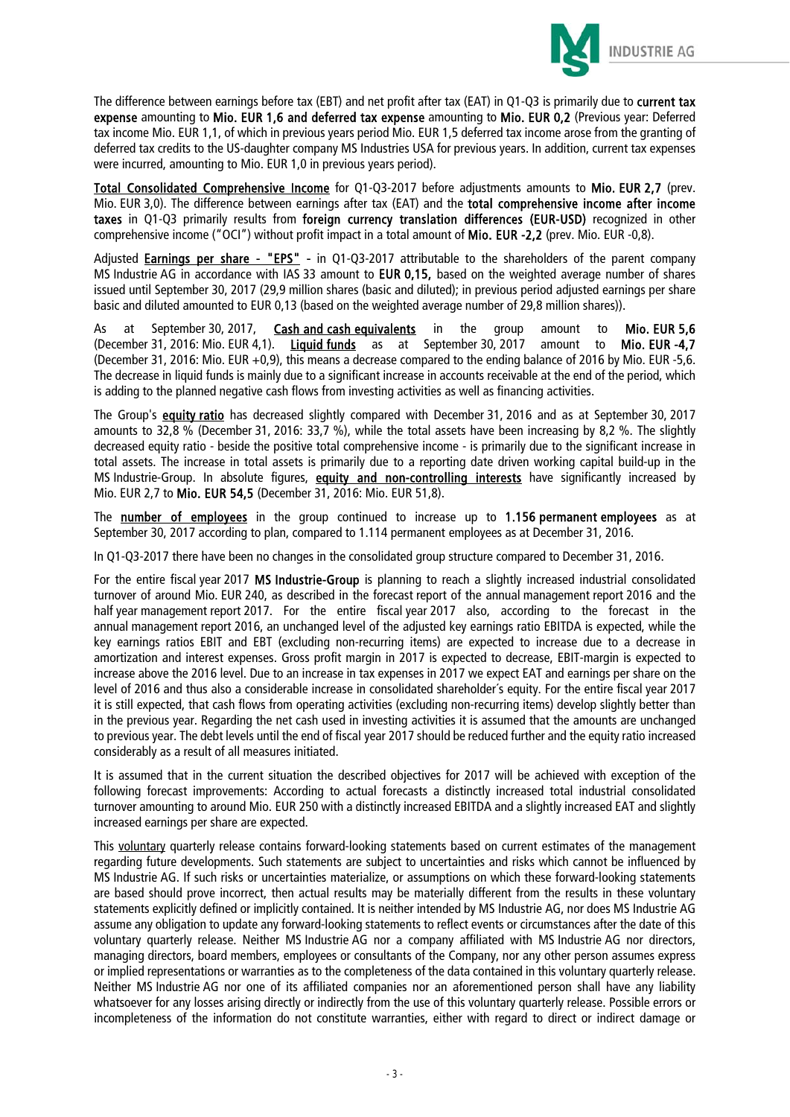

The difference between earnings before tax (EBT) and net profit after tax (EAT) in Q1-Q3 is primarily due to current tax expense amounting to Mio. EUR 1,6 and deferred tax expense amounting to Mio. EUR 0,2 (Previous year: Deferred tax income Mio. EUR 1,1, of which in previous years period Mio. EUR 1,5 deferred tax income arose from the granting of deferred tax credits to the US-daughter company MS Industries USA for previous years. In addition, current tax expenses were incurred, amounting to Mio. EUR 1,0 in previous years period).

Total Consolidated Comprehensive Income for Q1-Q3-2017 before adjustments amounts to Mio. EUR 2,7 (prev. Mio. EUR 3,0). The difference between earnings after tax (EAT) and the total comprehensive income after income taxes in Q1-Q3 primarily results from foreign currency translation differences (EUR-USD) recognized in other comprehensive income ("OCI") without profit impact in a total amount of Mio. EUR -2,2 (prev. Mio. EUR -0,8).

Adjusted **Earnings per share - "EPS"** - in Q1-Q3-2017 attributable to the shareholders of the parent company MS Industrie AG in accordance with IAS 33 amount to EUR 0,15, based on the weighted average number of shares issued until September 30, 2017 (29,9 million shares (basic and diluted); in previous period adjusted earnings per share basic and diluted amounted to EUR 0,13 (based on the weighted average number of 29,8 million shares)).

As at September 30, 2017, Cash and cash equivalents in the group amount to Mio. EUR 5,6 (December 31, 2016: Mio. EUR 4,1). Liquid funds as at September 30, 2017 amount to Mio. EUR -4,7 (December 31, 2016: Mio. EUR +0,9), this means a decrease compared to the ending balance of 2016 by Mio. EUR -5,6. The decrease in liquid funds is mainly due to a significant increase in accounts receivable at the end of the period, which is adding to the planned negative cash flows from investing activities as well as financing activities.

The Group's equity ratio has decreased slightly compared with December 31, 2016 and as at September 30, 2017 amounts to 32,8 % (December 31, 2016: 33,7 %), while the total assets have been increasing by 8,2 %. The slightly decreased equity ratio - beside the positive total comprehensive income - is primarily due to the significant increase in total assets. The increase in total assets is primarily due to a reporting date driven working capital build-up in the MS Industrie-Group. In absolute figures, **equity and non-controlling interests** have significantly increased by Mio. EUR 2,7 to Mio. EUR 54,5 (December 31, 2016: Mio. EUR 51,8).

The number of employees in the group continued to increase up to 1.156 permanent employees as at September 30, 2017 according to plan, compared to 1.114 permanent employees as at December 31, 2016.

In Q1-Q3-2017 there have been no changes in the consolidated group structure compared to December 31, 2016.

For the entire fiscal year 2017 MS Industrie-Group is planning to reach a slightly increased industrial consolidated turnover of around Mio. EUR 240, as described in the forecast report of the annual management report 2016 and the half year management report 2017. For the entire fiscal year 2017 also, according to the forecast in the annual management report 2016, an unchanged level of the adjusted key earnings ratio EBITDA is expected, while the key earnings ratios EBIT and EBT (excluding non-recurring items) are expected to increase due to a decrease in amortization and interest expenses. Gross profit margin in 2017 is expected to decrease, EBIT-margin is expected to increase above the 2016 level. Due to an increase in tax expenses in 2017 we expect EAT and earnings per share on the level of 2016 and thus also a considerable increase in consolidated shareholder´s equity. For the entire fiscal year 2017 it is still expected, that cash flows from operating activities (excluding non-recurring items) develop slightly better than in the previous year. Regarding the net cash used in investing activities it is assumed that the amounts are unchanged to previous year. The debt levels until the end of fiscal year 2017 should be reduced further and the equity ratio increased considerably as a result of all measures initiated.

It is assumed that in the current situation the described objectives for 2017 will be achieved with exception of the following forecast improvements: According to actual forecasts a distinctly increased total industrial consolidated turnover amounting to around Mio. EUR 250 with a distinctly increased EBITDA and a slightly increased EAT and slightly increased earnings per share are expected.

This voluntary quarterly release contains forward-looking statements based on current estimates of the management regarding future developments. Such statements are subject to uncertainties and risks which cannot be influenced by MS Industrie AG. If such risks or uncertainties materialize, or assumptions on which these forward-looking statements are based should prove incorrect, then actual results may be materially different from the results in these voluntary statements explicitly defined or implicitly contained. It is neither intended by MS Industrie AG, nor does MS Industrie AG assume any obligation to update any forward-looking statements to reflect events or circumstances after the date of this voluntary quarterly release. Neither MS Industrie AG nor a company affiliated with MS Industrie AG nor directors, managing directors, board members, employees or consultants of the Company, nor any other person assumes express or implied representations or warranties as to the completeness of the data contained in this voluntary quarterly release. Neither MS Industrie AG nor one of its affiliated companies nor an aforementioned person shall have any liability whatsoever for any losses arising directly or indirectly from the use of this voluntary quarterly release. Possible errors or incompleteness of the information do not constitute warranties, either with regard to direct or indirect damage or